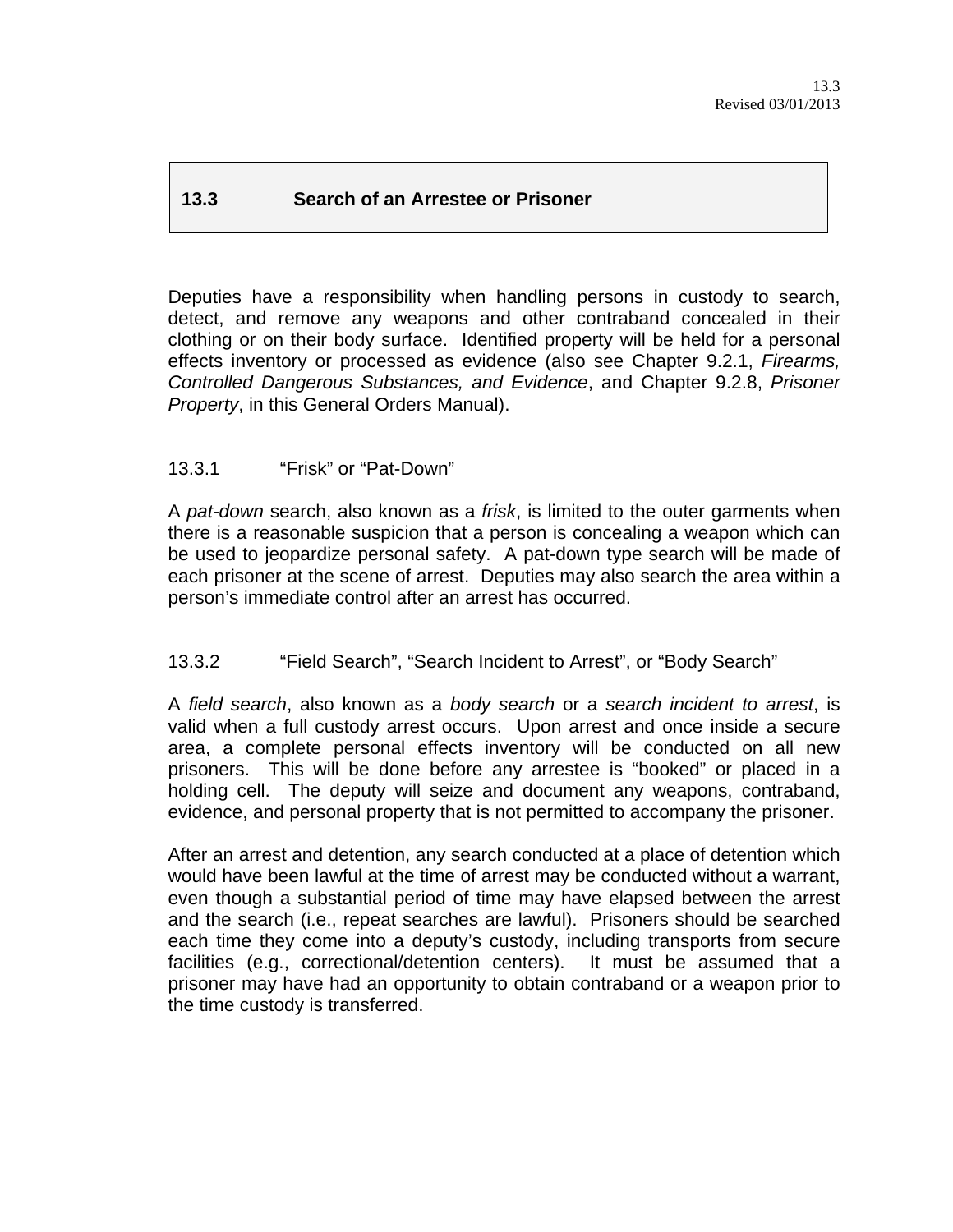# **13.3 Search of an Arrestee or Prisoner**

Deputies have a responsibility when handling persons in custody to search, detect, and remove any weapons and other contraband concealed in their clothing or on their body surface. Identified property will be held for a personal effects inventory or processed as evidence (also see Chapter 9.2.1, *Firearms, Controlled Dangerous Substances, and Evidence*, and Chapter 9.2.8, *Prisoner Property*, in this General Orders Manual).

### 13.3.1 "Frisk" or "Pat-Down"

A *pat-down* search, also known as a *frisk*, is limited to the outer garments when there is a reasonable suspicion that a person is concealing a weapon which can be used to jeopardize personal safety. A pat-down type search will be made of each prisoner at the scene of arrest. Deputies may also search the area within a person's immediate control after an arrest has occurred.

## 13.3.2 "Field Search", "Search Incident to Arrest", or "Body Search"

A *field search*, also known as a *body search* or a *search incident to arrest*, is valid when a full custody arrest occurs. Upon arrest and once inside a secure area, a complete personal effects inventory will be conducted on all new prisoners. This will be done before any arrestee is "booked" or placed in a holding cell. The deputy will seize and document any weapons, contraband, evidence, and personal property that is not permitted to accompany the prisoner.

After an arrest and detention, any search conducted at a place of detention which would have been lawful at the time of arrest may be conducted without a warrant, even though a substantial period of time may have elapsed between the arrest and the search (i.e., repeat searches are lawful). Prisoners should be searched each time they come into a deputy's custody, including transports from secure facilities (e.g., correctional/detention centers). It must be assumed that a prisoner may have had an opportunity to obtain contraband or a weapon prior to the time custody is transferred.